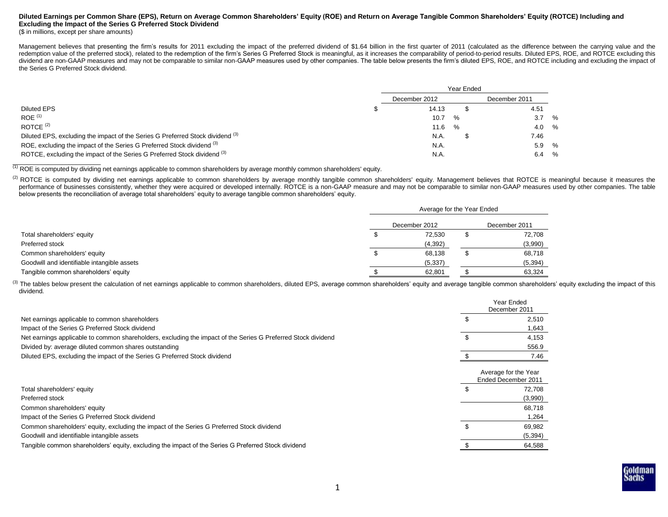# **Diluted Earnings per Common Share (EPS), Return on Average Common Shareholders' Equity (ROE) and Return on Average Tangible Common Shareholders' Equity (ROTCE) Including and Excluding the Impact of the Series G Preferred Stock Dividend**

## (\$ in millions, except per share amounts)

Management believes that presenting the firm's results for 2011 excluding the impact of the preferred dividend of \$1.64 billion in the first quarter of 2011 (calculated as the difference between the carrying value and the redemption value of the preferred stock), related to the redemption of the firm's Series G Preferred Stock is meaningful, as it increases the comparability of period-to-period results. Diluted EPS, ROE, and ROTCE excluding dividend are non-GAAP measures and may not be comparable to similar non-GAAP measures used by other companies. The table below presents the firm's diluted EPS, ROE, and ROTCE including and excluding the impact of the Series G Preferred Stock dividend.

|                                                                                           | Year Ended |               |      |  |               |  |
|-------------------------------------------------------------------------------------------|------------|---------------|------|--|---------------|--|
|                                                                                           |            | December 2012 |      |  | December 2011 |  |
| <b>Diluted EPS</b>                                                                        |            | 14.13         |      |  | 4.51          |  |
| $ROE$ <sup>(1)</sup>                                                                      |            | 10.7          | $\%$ |  | $3.7\%$       |  |
| ROTCE $(2)$                                                                               |            | 11.6          | %    |  | $4.0\%$       |  |
| Diluted EPS, excluding the impact of the Series G Preferred Stock dividend <sup>(3)</sup> |            | N.A.          |      |  | 7.46          |  |
| ROE, excluding the impact of the Series G Preferred Stock dividend (3)                    |            | N.A.          |      |  | 5.9 %         |  |
| ROTCE, excluding the impact of the Series G Preferred Stock dividend (3)                  |            | N.A.          |      |  | 6.4 %         |  |

(1) ROE is computed by dividing net earnings applicable to common shareholders by average monthly common shareholders' equity.

<sup>(2)</sup> ROTCE is computed by dividing net earnings applicable to common shareholders by average monthly tangible common shareholders' equity. Management believes that ROTCE is meaningful because it measures the performance of businesses consistently, whether they were acquired or developed internally. ROTCE is a non-GAAP measure and may not be comparable to similar non-GAAP measures used by other companies. The table below presents the reconciliation of average total shareholders' equity to average tangible common shareholders' equity.

|                                             | Average for the Year Ended |               |
|---------------------------------------------|----------------------------|---------------|
|                                             | December 2012              | December 2011 |
| Total shareholders' equity                  | 72,530                     | 72,708        |
| Preferred stock                             | (4, 392)                   | (3,990)       |
| Common shareholders' equity                 | 68.138                     | 68,718        |
| Goodwill and identifiable intangible assets | (5, 337)                   | (5, 394)      |
| Tangible common shareholders' equity        | 62,801                     | 63,324        |

<sup>(3)</sup> The tables below present the calculation of net earnings applicable to common shareholders, diluted EPS, average common shareholders' equity and average tangible common shareholders' equity excluding the impact of th dividend.

|                                                                                                               | Year Ended<br>December 2011                 |
|---------------------------------------------------------------------------------------------------------------|---------------------------------------------|
| Net earnings applicable to common shareholders                                                                | 2,510                                       |
| Impact of the Series G Preferred Stock dividend                                                               | 1,643                                       |
| Net earnings applicable to common shareholders, excluding the impact of the Series G Preferred Stock dividend | 4,153                                       |
| Divided by: average diluted common shares outstanding                                                         | 556.9                                       |
| Diluted EPS, excluding the impact of the Series G Preferred Stock dividend                                    | 7.46                                        |
|                                                                                                               | Average for the Year<br>Ended December 2011 |
| Total shareholders' equity                                                                                    | 72,708                                      |
| Preferred stock                                                                                               | (3,990)                                     |
| Common shareholders' equity                                                                                   | 68,718                                      |
| Impact of the Series G Preferred Stock dividend                                                               | 1,264                                       |
| Common shareholders' equity, excluding the impact of the Series G Preferred Stock dividend                    | 69,982                                      |
| Goodwill and identifiable intangible assets                                                                   | (5, 394)                                    |
| Tangible common shareholders' equity, excluding the impact of the Series G Preferred Stock dividend           | 64,588                                      |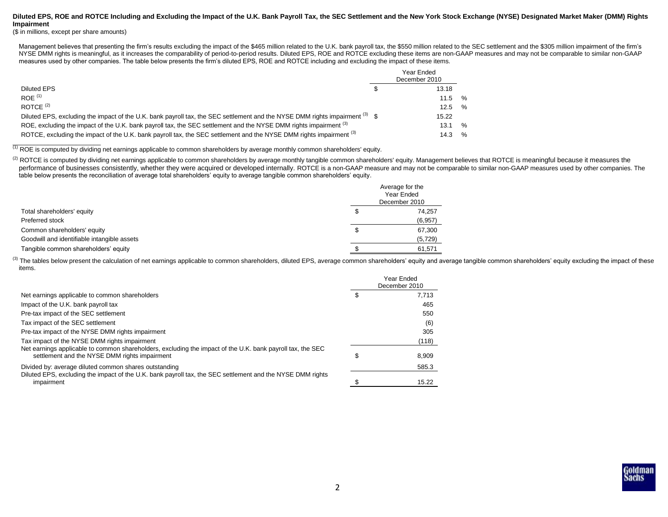## **Diluted EPS, ROE and ROTCE Including and Excluding the Impact of the U.K. Bank Payroll Tax, the SEC Settlement and the New York Stock Exchange (NYSE) Designated Market Maker (DMM) Rights Impairment**

(\$ in millions, except per share amounts)

Management believes that presenting the firm's results excluding the impact of the \$465 million related to the U.K. bank payroll tax, the \$550 million related to the SEC settlement and the \$305 million impairment of the fi NYSE DMM rights is meaningful, as it increases the comparability of period-to-period results. Diluted EPS, ROE and ROTCE excluding these items are non-GAAP measures and may not be comparable to similar non-GAAP measures used by other companies. The table below presents the firm's diluted EPS, ROE and ROTCE including and excluding the impact of these items.

|                                                                                                                              | Year Ended<br>December 2010 |               |
|------------------------------------------------------------------------------------------------------------------------------|-----------------------------|---------------|
| Diluted EPS                                                                                                                  | 13.18                       |               |
| ROF <sup>(1)</sup>                                                                                                           | 11.5                        | %             |
| ROTCF $(2)$                                                                                                                  | 12.5                        | $\frac{1}{2}$ |
| Diluted EPS, excluding the impact of the U.K. bank payroll tax, the SEC settlement and the NYSE DMM rights impairment (3) \$ | 15.22                       |               |
| ROE, excluding the impact of the U.K. bank payroll tax, the SEC settlement and the NYSE DMM rights impairment (3)            | 13.1                        | $\%$          |
| ROTCE, excluding the impact of the U.K. bank payroll tax, the SEC settlement and the NYSE DMM rights impairment (3)          | 14.3                        | $\%$          |

(1) ROE is computed by dividing net earnings applicable to common shareholders by average monthly common shareholders' equity.

<sup>(2)</sup> ROTCE is computed by dividing net earnings applicable to common shareholders by average monthly tangible common shareholders' equity. Management believes that ROTCE is meaningful because it measures the performance of businesses consistently, whether they were acquired or developed internally. ROTCE is a non-GAAP measure and may not be comparable to similar non-GAAP measures used by other companies. The table below presents the reconciliation of average total shareholders' equity to average tangible common shareholders' equity.

|                                             |    | Average for the<br>Year Ended<br>December 2010 |
|---------------------------------------------|----|------------------------------------------------|
| Total shareholders' equity                  | S  | 74,257                                         |
| Preferred stock                             |    | (6, 957)                                       |
| Common shareholders' equity                 | \$ | 67,300                                         |
| Goodwill and identifiable intangible assets |    | (5, 729)                                       |
| Tangible common shareholders' equity        |    | 61,571                                         |

(3) The tables below present the calculation of net earnings applicable to common shareholders, diluted EPS, average common shareholders' equity and average tangible common shareholders' equity excluding the impact of thes items.

|                                                                                                                                                             |   | Year Ended<br>December 2010 |
|-------------------------------------------------------------------------------------------------------------------------------------------------------------|---|-----------------------------|
| Net earnings applicable to common shareholders                                                                                                              |   | 7.713                       |
| Impact of the U.K. bank payroll tax                                                                                                                         |   | 465                         |
| Pre-tax impact of the SEC settlement                                                                                                                        |   | 550                         |
| Tax impact of the SEC settlement                                                                                                                            |   | (6)                         |
| Pre-tax impact of the NYSE DMM rights impairment                                                                                                            |   | 305                         |
| Tax impact of the NYSE DMM rights impairment                                                                                                                |   | (118)                       |
| Net earnings applicable to common shareholders, excluding the impact of the U.K. bank payroll tax, the SEC<br>settlement and the NYSE DMM rights impairment | S | 8.909                       |
| Divided by: average diluted common shares outstanding                                                                                                       |   | 585.3                       |
| Diluted EPS, excluding the impact of the U.K. bank payroll tax, the SEC settlement and the NYSE DMM rights<br>impairment                                    |   | 15.22                       |

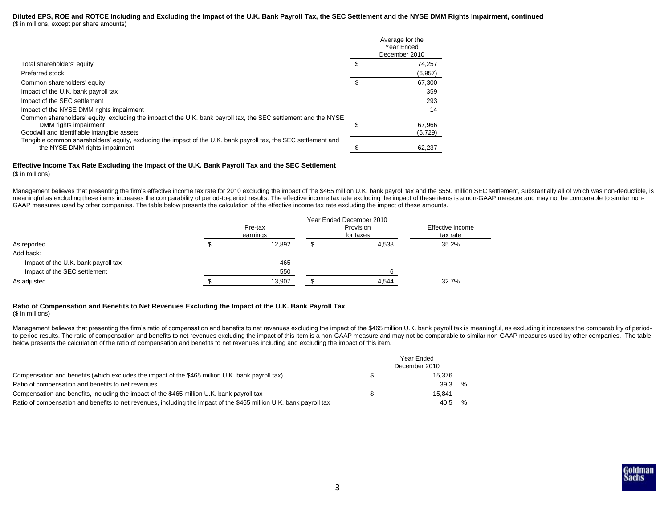#### **Diluted EPS, ROE and ROTCE Including and Excluding the Impact of the U.K. Bank Payroll Tax, the SEC Settlement and the NYSE DMM Rights Impairment, continued** (\$ in millions, except per share amounts)

|                                                                                                                                                                                         |   | Average for the<br>Year Ended<br>December 2010 |
|-----------------------------------------------------------------------------------------------------------------------------------------------------------------------------------------|---|------------------------------------------------|
| Total shareholders' equity                                                                                                                                                              |   | 74.257                                         |
| Preferred stock                                                                                                                                                                         |   | (6,957)                                        |
| Common shareholders' equity                                                                                                                                                             |   | 67,300                                         |
| Impact of the U.K. bank payroll tax                                                                                                                                                     |   | 359                                            |
| Impact of the SEC settlement                                                                                                                                                            |   | 293                                            |
| Impact of the NYSE DMM rights impairment                                                                                                                                                |   | 14                                             |
| Common shareholders' equity, excluding the impact of the U.K. bank payroll tax, the SEC settlement and the NYSE<br>DMM rights impairment<br>Goodwill and identifiable intangible assets | ъ | 67.966<br>(5, 729)                             |
| Tangible common shareholders' equity, excluding the impact of the U.K. bank payroll tax, the SEC settlement and<br>the NYSE DMM rights impairment                                       |   | 62,237                                         |

# **Effective Income Tax Rate Excluding the Impact of the U.K. Bank Payroll Tax and the SEC Settlement**

(\$ in millions)

Management believes that presenting the firm's effective income tax rate for 2010 excluding the impact of the \$465 million U.K. bank payroll tax and the \$550 million SEC settlement, substantially all of which was non-deduc meaningful as excluding these items increases the comparability of period-to-period results. The effective income tax rate excluding the impact of these items is a non-GAAP measure and may not be comparable to similar non-GAAP measures used by other companies. The table below presents the calculation of the effective income tax rate excluding the impact of these amounts.

|                                     | Year Ended December 2010 |                     |  |                        |                              |  |  |  |  |  |  |
|-------------------------------------|--------------------------|---------------------|--|------------------------|------------------------------|--|--|--|--|--|--|
|                                     |                          | Pre-tax<br>earnings |  | Provision<br>for taxes | Effective income<br>tax rate |  |  |  |  |  |  |
|                                     |                          |                     |  |                        |                              |  |  |  |  |  |  |
| As reported                         |                          | 12,892              |  | 4,538                  | 35.2%                        |  |  |  |  |  |  |
| Add back:                           |                          |                     |  |                        |                              |  |  |  |  |  |  |
| Impact of the U.K. bank payroll tax |                          | 465                 |  |                        |                              |  |  |  |  |  |  |
| Impact of the SEC settlement        |                          | 550                 |  |                        |                              |  |  |  |  |  |  |
| As adjusted                         |                          | 13,907              |  | 4,544                  | 32.7%                        |  |  |  |  |  |  |

# **Ratio of Compensation and Benefits to Net Revenues Excluding the Impact of the U.K. Bank Payroll Tax**

(\$ in millions)

Management believes that presenting the firm's ratio of compensation and benefits to net revenues excluding the impact of the \$465 million U.K. bank payroll tax is meaningful, as excluding it increases the comparability of to-period results. The ratio of compensation and benefits to net revenues excluding the impact of this item is a non-GAAP measure and may not be comparable to similar non-GAAP measures used by other companies. The table below presents the calculation of the ratio of compensation and benefits to net revenues including and excluding the impact of this item.

|                                                                                                                     | Year Ended<br>December 2010 |        |               |  |  |  |  |
|---------------------------------------------------------------------------------------------------------------------|-----------------------------|--------|---------------|--|--|--|--|
| Compensation and benefits (which excludes the impact of the \$465 million U.K. bank payroll tax)                    |                             | 15.376 |               |  |  |  |  |
| Ratio of compensation and benefits to net revenues                                                                  |                             | 39.3   | $\frac{1}{2}$ |  |  |  |  |
| Compensation and benefits, including the impact of the \$465 million U.K. bank payroll tax                          |                             | 15.841 |               |  |  |  |  |
| Ratio of compensation and benefits to net revenues, including the impact of the \$465 million U.K. bank payroll tax |                             | 40.5   | $\frac{6}{6}$ |  |  |  |  |

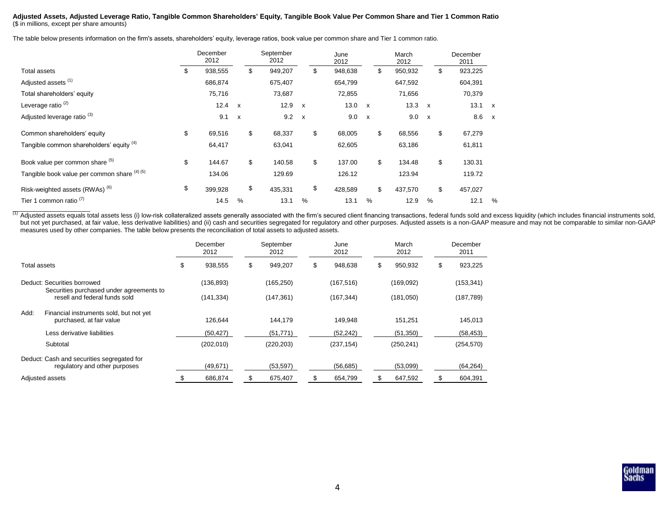### **Adjusted Assets, Adjusted Leverage Ratio, Tangible Common Shareholders' Equity, Tangible Book Value Per Common Share and Tier 1 Common Ratio** (\$ in millions, except per share amounts)

The table below presents information on the firm's assets, shareholders' equity, leverage ratios, book value per common share and Tier 1 common ratio.

|                                              | December<br>2012 |                           | September<br>2012 |               | June<br>2012  |              | March<br>2012 |              | December<br>2011 |              |
|----------------------------------------------|------------------|---------------------------|-------------------|---------------|---------------|--------------|---------------|--------------|------------------|--------------|
| <b>Total assets</b>                          | \$<br>938,555    |                           | \$<br>949,207     |               | \$<br>948,638 |              | \$<br>950,932 |              | \$<br>923,225    |              |
| Adjusted assets (1)                          | 686,874          |                           | 675,407           |               | 654,799       |              | 647,592       |              | 604,391          |              |
| Total shareholders' equity                   | 75,716           |                           | 73,687            |               | 72,855        |              | 71,656        |              | 70,379           |              |
| Leverage ratio <sup>(2)</sup>                | 12.4 x           |                           | 12.9              | $\mathsf{x}$  | 13.0          | $\mathsf{x}$ | 13.3          | $\mathsf{x}$ | 13.1             | $\mathbf{x}$ |
| Adjusted leverage ratio <sup>(3)</sup>       | 9.1              | $\boldsymbol{\mathsf{x}}$ | 9.2               | $\mathsf{x}$  | 9.0           | $\mathsf{x}$ | 9.0           | $\mathsf{x}$ | 8.6              | $\mathsf{x}$ |
| Common shareholders' equity                  | \$<br>69,516     |                           | \$<br>68,337      |               | \$<br>68,005  |              | \$<br>68,556  |              | \$<br>67,279     |              |
| Tangible common shareholders' equity (4)     | 64,417           |                           | 63,041            |               | 62,605        |              | 63,186        |              | 61,811           |              |
| Book value per common share (5)              | \$<br>144.67     |                           | \$<br>140.58      |               | \$<br>137.00  |              | \$<br>134.48  |              | \$<br>130.31     |              |
| Tangible book value per common share (4) (5) | 134.06           |                           | 129.69            |               | 126.12        |              | 123.94        |              | 119.72           |              |
| Risk-weighted assets (RWAs) <sup>(6)</sup>   | \$<br>399,928    |                           | \$<br>435,331     |               | \$<br>428,589 |              | \$<br>437,570 |              | \$<br>457,027    |              |
| Tier 1 common ratio <sup>(7)</sup>           | 14.5             | $\frac{0}{0}$             | 13.1              | $\frac{0}{0}$ | 13.1          | %            | 12.9          | %            | 12.1             | %            |

(1) Adjusted assets equals total assets less (i) low-risk collateralized assets generally associated with the firm's secured client financing transactions, federal funds sold and excess liquidity (which includes financial but not yet purchased, at fair value, less derivative liabilities) and (ii) cash and securities segregated for regulatory and other purposes. Adjusted assets is a non-GAAP measure and may not be comparable to similar non-G measures used by other companies. The table below presents the reconciliation of total assets to adjusted assets.

|                                                                             | December<br>2012 |   | September<br>2012 | June<br>2012 |            |               |               |  |  |  |  |  |  |  |  |  |  | March<br>2012 | December<br>2011 |
|-----------------------------------------------------------------------------|------------------|---|-------------------|--------------|------------|---------------|---------------|--|--|--|--|--|--|--|--|--|--|---------------|------------------|
| Total assets                                                                | \$<br>938,555    | S | 949,207           | S            | 948,638    | \$<br>950,932 | \$<br>923,225 |  |  |  |  |  |  |  |  |  |  |               |                  |
| Deduct: Securities borrowed                                                 | (136, 893)       |   | (165, 250)        |              | (167, 516) | (169,092)     | (153, 341)    |  |  |  |  |  |  |  |  |  |  |               |                  |
| Securities purchased under agreements to<br>resell and federal funds sold   | (141,334)        |   | (147, 361)        |              | (167, 344) | (181,050)     | (187, 789)    |  |  |  |  |  |  |  |  |  |  |               |                  |
| Add:<br>Financial instruments sold, but not yet<br>purchased, at fair value | 126,644          |   | 144,179           |              | 149,948    | 151,251       | 145,013       |  |  |  |  |  |  |  |  |  |  |               |                  |
| Less derivative liabilities                                                 | (50, 427)        |   | (51, 771)         |              | (52, 242)  | (51,350)      | (58, 453)     |  |  |  |  |  |  |  |  |  |  |               |                  |
| Subtotal                                                                    | (202, 010)       |   | (220, 203)        |              | (237, 154) | (250, 241)    | (254, 570)    |  |  |  |  |  |  |  |  |  |  |               |                  |
| Deduct: Cash and securities segregated for<br>regulatory and other purposes | (49,671)         |   | (53, 597)         |              | (56, 685)  | (53,099)      | (64, 264)     |  |  |  |  |  |  |  |  |  |  |               |                  |
| Adjusted assets                                                             | 686,874          |   | 675,407           |              | 654,799    | 647,592       | 604,391       |  |  |  |  |  |  |  |  |  |  |               |                  |